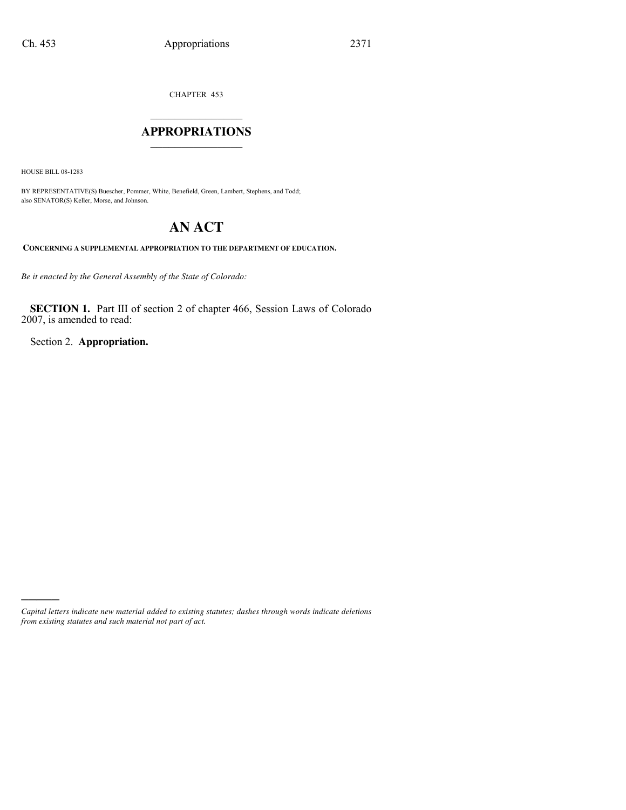CHAPTER 453

### $\mathcal{L}$  , we have the set of the set of the set of the set of the set of the set of the set of the set of the set of the set of the set of the set of the set of the set of the set of the set of the set of the set of the **APPROPRIATIONS** \_\_\_\_\_\_\_\_\_\_\_\_\_\_\_

HOUSE BILL 08-1283

)))))

BY REPRESENTATIVE(S) Buescher, Pommer, White, Benefield, Green, Lambert, Stephens, and Todd; also SENATOR(S) Keller, Morse, and Johnson.

# **AN ACT**

**CONCERNING A SUPPLEMENTAL APPROPRIATION TO THE DEPARTMENT OF EDUCATION.**

*Be it enacted by the General Assembly of the State of Colorado:*

**SECTION 1.** Part III of section 2 of chapter 466, Session Laws of Colorado 2007, is amended to read:

Section 2. **Appropriation.**

*Capital letters indicate new material added to existing statutes; dashes through words indicate deletions from existing statutes and such material not part of act.*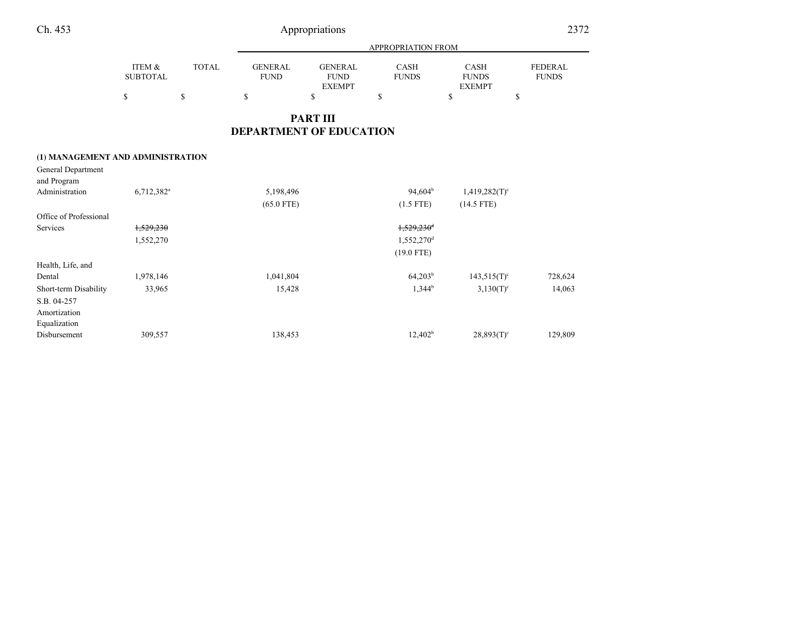|                                   |                                |              | <b>APPROPRIATION FROM</b>     |                                                |                          |                                              |                                |  |
|-----------------------------------|--------------------------------|--------------|-------------------------------|------------------------------------------------|--------------------------|----------------------------------------------|--------------------------------|--|
|                                   | ITEM &<br><b>SUBTOTAL</b>      | <b>TOTAL</b> | <b>GENERAL</b><br><b>FUND</b> | <b>GENERAL</b><br><b>FUND</b><br><b>EXEMPT</b> | CASH<br><b>FUNDS</b>     | <b>CASH</b><br><b>FUNDS</b><br><b>EXEMPT</b> | <b>FEDERAL</b><br><b>FUNDS</b> |  |
|                                   | \$                             | \$           | \$                            | \$                                             | \$                       | \$                                           | \$                             |  |
|                                   |                                |              |                               | <b>PART III</b>                                |                          |                                              |                                |  |
|                                   | <b>DEPARTMENT OF EDUCATION</b> |              |                               |                                                |                          |                                              |                                |  |
| (1) MANAGEMENT AND ADMINISTRATION |                                |              |                               |                                                |                          |                                              |                                |  |
| General Department<br>and Program |                                |              |                               |                                                |                          |                                              |                                |  |
| Administration                    | $6,712,382$ <sup>a</sup>       |              | 5,198,496                     |                                                | $94,604^{\rm b}$         | $1,419,282(T)^c$                             |                                |  |
|                                   |                                |              | $(65.0$ FTE)                  |                                                | $(1.5$ FTE)              | $(14.5$ FTE)                                 |                                |  |
| Office of Professional            |                                |              |                               |                                                |                          |                                              |                                |  |
| Services                          | 1,529,230                      |              |                               |                                                | $1,529,230$ <sup>d</sup> |                                              |                                |  |
|                                   | 1,552,270                      |              |                               |                                                | 1,552,270 <sup>d</sup>   |                                              |                                |  |
|                                   |                                |              |                               |                                                | $(19.0$ FTE)             |                                              |                                |  |
| Health, Life, and                 |                                |              |                               |                                                |                          |                                              |                                |  |

Dental 1,978,146 1,041,804 64,203<sup>b</sup> 143,515(T)<sup>c</sup> 728,624 Short-term Disability 33,965 15,428 15,428 1,344<sup>b</sup> 3,130(T)<sup>c</sup> 14,063

Disbursement 309,557 138,453 12,402<sup>b</sup> 28,893(T)<sup>c</sup> 129,809

S.B. 04-257 Amortization EqualizationDisbursement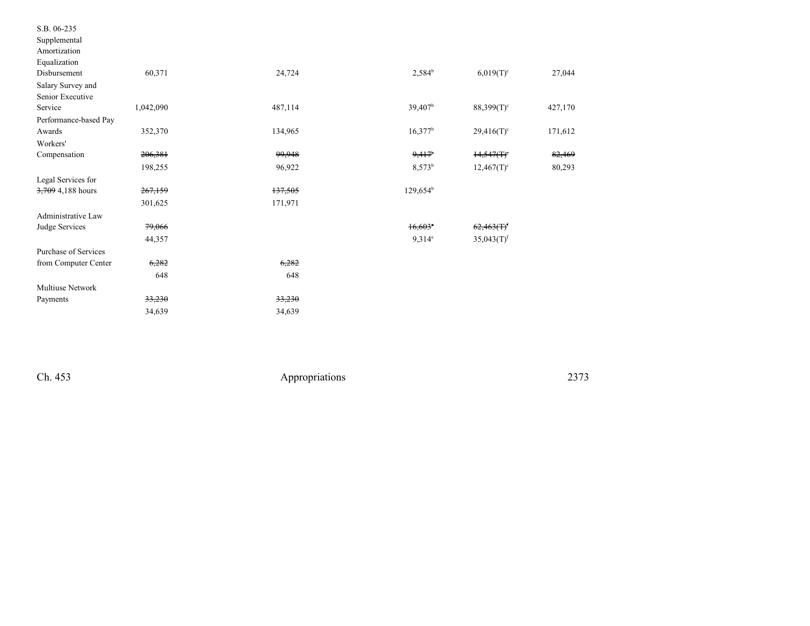| S.B. 06-235           |           |         |                     |                          |         |
|-----------------------|-----------|---------|---------------------|--------------------------|---------|
| Supplemental          |           |         |                     |                          |         |
| Amortization          |           |         |                     |                          |         |
| Equalization          |           |         |                     |                          |         |
| Disbursement          | 60,371    | 24,724  | $2,584^{b}$         | $6,019(T)^c$             | 27,044  |
| Salary Survey and     |           |         |                     |                          |         |
| Senior Executive      |           |         |                     |                          |         |
| Service               | 1,042,090 | 487,114 | 39,407 <sup>b</sup> | $88,399(T)$ <sup>c</sup> | 427,170 |
| Performance-based Pay |           |         |                     |                          |         |
| Awards                | 352,370   | 134,965 | $16,377^b$          | $29,416(T)^c$            | 171,612 |
| Workers'              |           |         |                     |                          |         |
| Compensation          | 206,381   | 99,948  | 9,417               | $14,547(T)$ <sup>c</sup> | 82,469  |
|                       | 198,255   | 96,922  | 8,573 <sup>b</sup>  | $12,467(T)^c$            | 80,293  |
| Legal Services for    |           |         |                     |                          |         |
| 3,709 4,188 hours     | 267,159   | 137,505 | $129,654^b$         |                          |         |
|                       | 301,625   | 171,971 |                     |                          |         |
| Administrative Law    |           |         |                     |                          |         |
| Judge Services        | 79,066    |         | $16,603$ °          | $62,463(T)^f$            |         |
|                       | 44,357    |         | $9,314^e$           | $35,043(T)$ <sup>f</sup> |         |
| Purchase of Services  |           |         |                     |                          |         |
| from Computer Center  | 6,282     | 6,282   |                     |                          |         |
|                       | 648       | 648     |                     |                          |         |
| Multiuse Network      |           |         |                     |                          |         |
| Payments              | 33,230    | 33,230  |                     |                          |         |
|                       | 34,639    | 34,639  |                     |                          |         |
|                       |           |         |                     |                          |         |

Ch. 453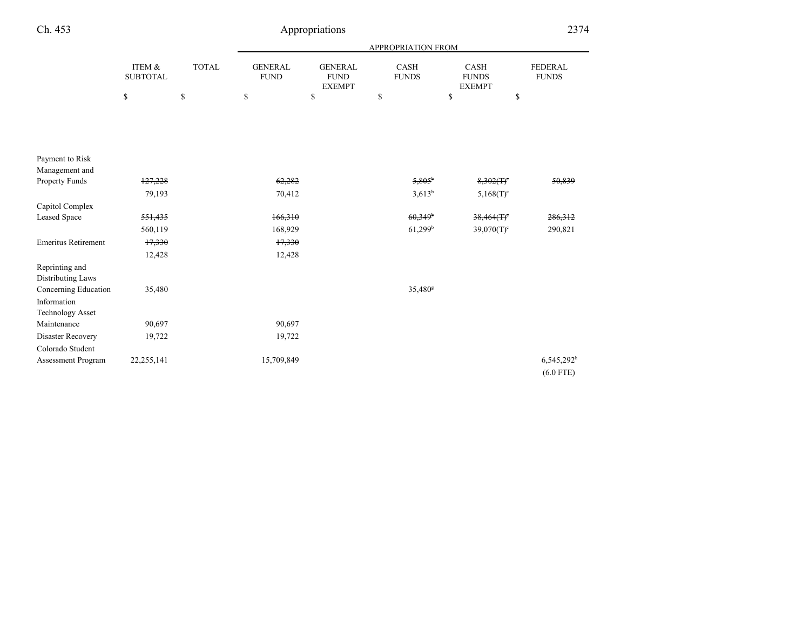| Ch. 453                             |                           |              |                               | Appropriations                                 |                             |                                              | 2374                           |
|-------------------------------------|---------------------------|--------------|-------------------------------|------------------------------------------------|-----------------------------|----------------------------------------------|--------------------------------|
|                                     |                           |              |                               |                                                | APPROPRIATION FROM          |                                              |                                |
|                                     | ITEM &<br><b>SUBTOTAL</b> | <b>TOTAL</b> | <b>GENERAL</b><br><b>FUND</b> | <b>GENERAL</b><br><b>FUND</b><br><b>EXEMPT</b> | <b>CASH</b><br><b>FUNDS</b> | <b>CASH</b><br><b>FUNDS</b><br><b>EXEMPT</b> | <b>FEDERAL</b><br><b>FUNDS</b> |
|                                     | \$                        | \$           | $\mathbb{S}$                  | \$                                             | \$                          | \$                                           | \$                             |
|                                     |                           |              |                               |                                                |                             |                                              |                                |
|                                     |                           |              |                               |                                                |                             |                                              |                                |
|                                     |                           |              |                               |                                                |                             |                                              |                                |
| Payment to Risk<br>Management and   |                           |              |                               |                                                |                             |                                              |                                |
| Property Funds                      | 127,228                   |              | 62,282                        |                                                | $5,805^{\circ}$             | $8,302(f)^c$                                 | 50,839                         |
|                                     | 79,193                    |              | 70,412                        |                                                | $3,613^{b}$                 | $5,168(T)^c$                                 |                                |
| Capitol Complex                     |                           |              |                               |                                                |                             |                                              |                                |
| <b>Leased Space</b>                 | 551,435                   |              | 166,310                       |                                                | 60,349                      | $38,464(T)$ <sup>c</sup>                     | 286,312                        |
|                                     | 560,119                   |              | 168,929                       |                                                | $61,299$ <sup>b</sup>       | $39,070(T)$ <sup>c</sup>                     | 290,821                        |
| <b>Emeritus Retirement</b>          | 17,330                    |              | 17,330                        |                                                |                             |                                              |                                |
|                                     | 12,428                    |              | 12,428                        |                                                |                             |                                              |                                |
| Reprinting and<br>Distributing Laws |                           |              |                               |                                                |                             |                                              |                                |
| Concerning Education                | 35,480                    |              |                               |                                                | 35,480 <sup>g</sup>         |                                              |                                |
| Information                         |                           |              |                               |                                                |                             |                                              |                                |
| <b>Technology Asset</b>             |                           |              |                               |                                                |                             |                                              |                                |
| Maintenance                         | 90,697                    |              | 90,697                        |                                                |                             |                                              |                                |
| Disaster Recovery                   | 19,722                    |              | 19,722                        |                                                |                             |                                              |                                |
| Colorado Student                    |                           |              |                               |                                                |                             |                                              |                                |
| Assessment Program                  | 22,255,141                |              | 15,709,849                    |                                                |                             |                                              | $6,545,292^h$                  |
|                                     |                           |              |                               |                                                |                             |                                              | $(6.0$ FTE)                    |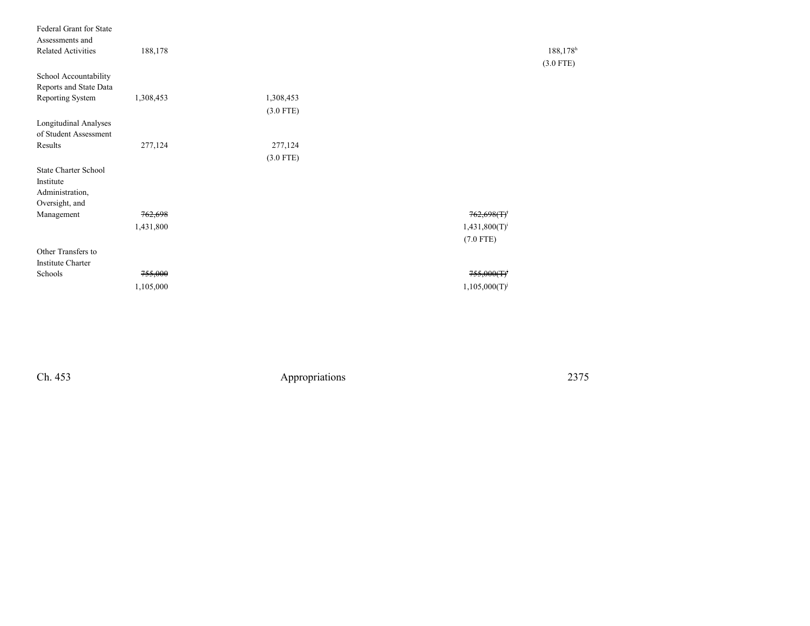| Federal Grant for State<br>Assessments and            |           |             |                    |             |
|-------------------------------------------------------|-----------|-------------|--------------------|-------------|
| <b>Related Activities</b>                             | 188,178   |             |                    | 188,178h    |
|                                                       |           |             |                    | $(3.0$ FTE) |
| School Accountability                                 |           |             |                    |             |
| Reports and State Data                                |           |             |                    |             |
| Reporting System                                      | 1,308,453 | 1,308,453   |                    |             |
|                                                       |           | $(3.0$ FTE) |                    |             |
| <b>Longitudinal Analyses</b><br>of Student Assessment |           |             |                    |             |
| Results                                               | 277,124   | 277,124     |                    |             |
|                                                       |           | $(3.0$ FTE) |                    |             |
| <b>State Charter School</b>                           |           |             |                    |             |
| Institute                                             |           |             |                    |             |
| Administration,                                       |           |             |                    |             |
| Oversight, and                                        |           |             |                    |             |
| Management                                            | 762,698   |             | 762,698(f)         |             |
|                                                       | 1,431,800 |             | $1,431,800(T)^{i}$ |             |
|                                                       |           |             | $(7.0$ FTE)        |             |
| Other Transfers to                                    |           |             |                    |             |
| <b>Institute Charter</b>                              |           |             |                    |             |
| Schools                                               | 755,000   |             | 755,000(T)         |             |
|                                                       | 1,105,000 |             | $1,105,000(T)^{j}$ |             |
|                                                       |           |             |                    |             |

Ch. 453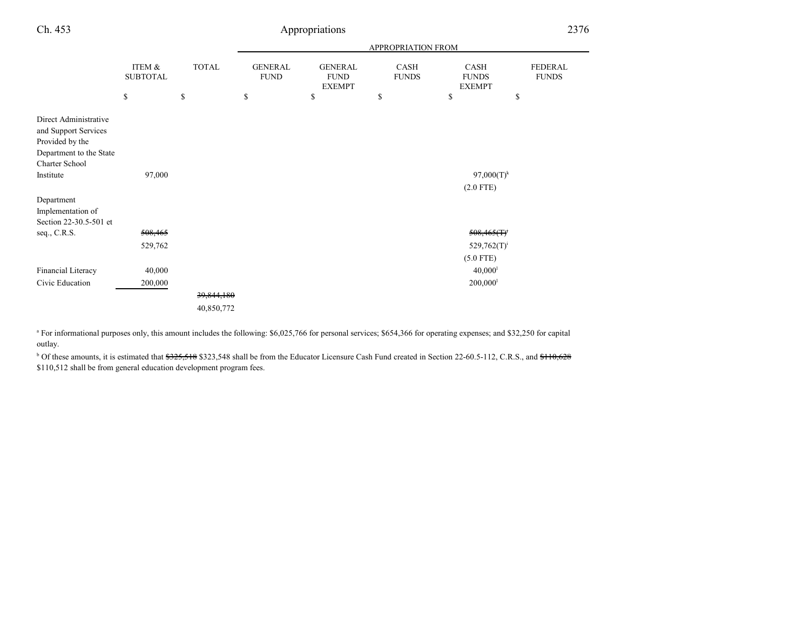| Ch. 453                                                                                                                                                       | Appropriations                              |              |                                                                       |                                                |                             |                                       | 2376                           |
|---------------------------------------------------------------------------------------------------------------------------------------------------------------|---------------------------------------------|--------------|-----------------------------------------------------------------------|------------------------------------------------|-----------------------------|---------------------------------------|--------------------------------|
|                                                                                                                                                               |                                             |              | APPROPRIATION FROM                                                    |                                                |                             |                                       |                                |
|                                                                                                                                                               | ITEM &<br><b>SUBTOTAL</b>                   | <b>TOTAL</b> | <b>GENERAL</b><br><b>FUND</b>                                         | <b>GENERAL</b><br><b>FUND</b><br><b>EXEMPT</b> | <b>CASH</b><br><b>FUNDS</b> | CASH<br><b>FUNDS</b><br><b>EXEMPT</b> | <b>FEDERAL</b><br><b>FUNDS</b> |
|                                                                                                                                                               | $\mathbb{S}% _{n}^{X\rightarrow\mathbb{R}}$ | $\mathbb{S}$ | $\mathbb{S}% _{t}\left( t\right) \equiv\mathbb{S}_{t}\left( t\right)$ | \$                                             | \$                          | \$                                    | \$                             |
| Direct Administrative<br>and Support Services<br>Provided by the<br>Department to the State<br>Charter School<br>Institute<br>Department<br>Implementation of | 97,000                                      |              |                                                                       |                                                |                             | $97,000(T)^k$<br>$(2.0$ FTE)          |                                |
| Section 22-30.5-501 et                                                                                                                                        |                                             |              |                                                                       |                                                |                             |                                       |                                |
| seq., C.R.S.                                                                                                                                                  | 508,465                                     |              |                                                                       |                                                |                             | $508,465(T)^t$                        |                                |
|                                                                                                                                                               | 529,762                                     |              |                                                                       |                                                |                             | $529,762(T)^{i}$                      |                                |
|                                                                                                                                                               |                                             |              |                                                                       |                                                |                             | $(5.0$ FTE)                           |                                |
| Financial Literacy                                                                                                                                            | 40,000                                      |              |                                                                       |                                                |                             | 40,000 <sup>1</sup>                   |                                |
| Civic Education                                                                                                                                               | 200,000                                     |              |                                                                       |                                                |                             | $200,000$ <sup>1</sup>                |                                |
|                                                                                                                                                               |                                             | 39,844,180   |                                                                       |                                                |                             |                                       |                                |
|                                                                                                                                                               |                                             | 40,850,772   |                                                                       |                                                |                             |                                       |                                |

<sup>a</sup> For informational purposes only, this amount includes the following: \$6,025,766 for personal services; \$654,366 for operating expenses; and \$32,250 for capital outlay.

<sup>b</sup> Of these amounts, it is estimated that \$325,518 \$323,548 shall be from the Educator Licensure Cash Fund created in Section 22-60.5-112, C.R.S., and \$110,628 \$110,512 shall be from general education development program fees.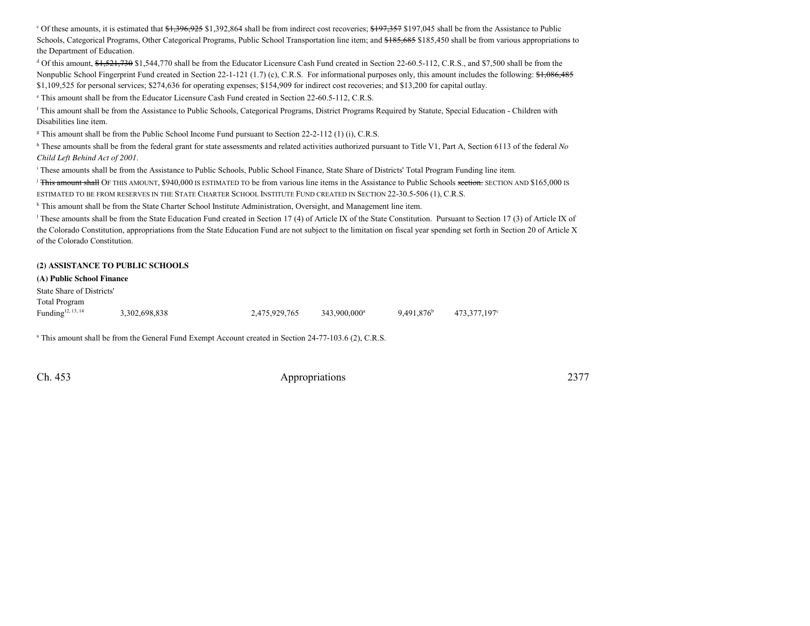$\degree$  Of these amounts, it is estimated that  $\frac{1,396,925}{1,392,864}$  shall be from indirect cost recoveries;  $\frac{1,97,357}{1,97,045}$  shall be from the Assistance to Public Schools, Categorical Programs, Other Categorical Programs, Public School Transportation line item; and \$185,685 \$185,450 shall be from various appropriations to the Department of Education.

<sup>d</sup> Of this amount,  $\frac{61}{521}$ ,730  $\frac{521}{730}$  \$1,544,770 shall be from the Educator Licensure Cash Fund created in Section 22-60.5-112, C.R.S., and \$7,500 shall be from the Nonpublic School Fingerprint Fund created in Section 22-1-121 (1.7) (c), C.R.S. For informational purposes only, this amount includes the following: \$1,086,485 \$1,109,525 for personal services; \$274,636 for operating expenses; \$154,909 for indirect cost recoveries; and \$13,200 for capital outlay.

e This amount shall be from the Educator Licensure Cash Fund created in Section 22-60.5-112, C.R.S.

<sup>f</sup> This amount shall be from the Assistance to Public Schools, Categorical Programs, District Programs Required by Statute, Special Education - Children withDisabilities line item.

<sup>g</sup> This amount shall be from the Public School Income Fund pursuant to Section 22-2-112 (1) (i), C.R.S.

h These amounts shall be from the federal grant for state assessments and related activities authorized pursuant to Title V1, Part A, Section 6113 of the federal *No Child Left Behind Act of 2001*.

<sup>i</sup> These amounts shall be from the Assistance to Public Schools, Public School Finance, State Share of Districts' Total Program Funding line item.

<sup>j</sup> <del>This amount shall</del> OF THIS AMOUNT, \$940,000 IS ESTIMATED TO be from various line items in the Assistance to Public Schools <del>section.</del> SECTION AND \$165,000 IS ESTIMATED TO BE FROM RESERVES IN THE STATE CHARTER SCHOOL INSTITUTE FUND CREATED IN SECTION 22-30.5-506 (1), C.R.S.

<sup>k</sup> This amount shall be from the State Charter School Institute Administration, Oversight, and Management line item.

<sup>l</sup> These amounts shall be from the State Education Fund created in Section 17 (4) of Article IX of the State Constitution. Pursuant to Section 17 (3) of Article IX of the Colorado Constitution, appropriations from the State Education Fund are not subject to the limitation on fiscal year spending set forth in Section 20 of Article Xof the Colorado Constitution.

#### **(2) ASSISTANCE TO PUBLIC SCHOOLS**

#### **(A) Public School Finance**

State Share of Districts'Total ProgramFunding<sup>12, 13, 14</sup> Funding<sup>12, 13, 14</sup> 3,302,698,838 2,475,929,765 343,900,000<sup>a</sup> 9,491,876<sup>b</sup> 473,377,197<sup>c</sup>

<sup>a</sup> This amount shall be from the General Fund Exempt Account created in Section 24-77-103.6 (2), C.R.S.

Ch. 453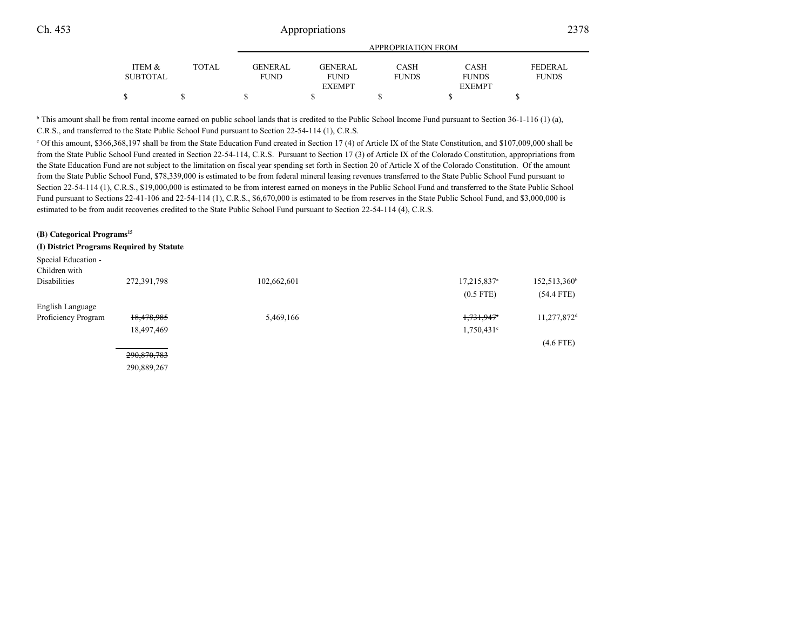|                 |       |                | APPROPRIATION FROM |              |               |                |
|-----------------|-------|----------------|--------------------|--------------|---------------|----------------|
| ITEM &          | TOTAL | <b>GENERAL</b> | <b>GENERAL</b>     | CASH         | <b>CASH</b>   | <b>FEDERAL</b> |
| <b>SUBTOTAL</b> |       | FUND           | <b>FUND</b>        | <b>FUNDS</b> | <b>FUNDS</b>  | <b>FUNDS</b>   |
|                 |       |                | <b>EXEMPT</b>      |              | <b>EXEMPT</b> |                |
|                 |       |                |                    |              |               |                |
|                 |       |                |                    |              |               |                |

 $\overline{b}$  This amount shall be from rental income earned on public school lands that is credited to the Public School Income Fund pursuant to Section 36-1-116 (1) (a), C.R.S., and transferred to the State Public School Fund pursuant to Section 22-54-114 (1), C.R.S.

c Of this amount, \$366,368,197 shall be from the State Education Fund created in Section 17 (4) of Article IX of the State Constitution, and \$107,009,000 shall befrom the State Public School Fund created in Section 22-54-114, C.R.S. Pursuant to Section 17 (3) of Article IX of the Colorado Constitution, appropriations from the State Education Fund are not subject to the limitation on fiscal year spending set forth in Section 20 of Article X of the Colorado Constitution. Of the amountfrom the State Public School Fund, \$78,339,000 is estimated to be from federal mineral leasing revenues transferred to the State Public School Fund pursuant toSection 22-54-114 (1), C.R.S., \$19,000,000 is estimated to be from interest earned on moneys in the Public School Fund and transferred to the State Public School Fund pursuant to Sections 22-41-106 and 22-54-114 (1), C.R.S., \$6,670,000 is estimated to be from reserves in the State Public School Fund, and \$3,000,000 is estimated to be from audit recoveries credited to the State Public School Fund pursuant to Section 22-54-114 (4), C.R.S.

| (B) Categorical Programs <sup>15</sup>    |             |             |                         |                          |
|-------------------------------------------|-------------|-------------|-------------------------|--------------------------|
| (I) District Programs Required by Statute |             |             |                         |                          |
| Special Education -                       |             |             |                         |                          |
| Children with                             |             |             |                         |                          |
| Disabilities                              | 272,391,798 | 102,662,601 | 17,215,837 <sup>a</sup> | $152,513,360^{\text{h}}$ |
|                                           |             |             | $(0.5$ FTE)             | $(54.4$ FTE)             |
| English Language                          |             |             |                         |                          |
| Proficiency Program                       | 18,478,985  | 5,469,166   | 1,731,947 <sup>e</sup>  | 11,277,872 <sup>d</sup>  |
|                                           | 18,497,469  |             | $1,750,431^{\circ}$     |                          |
|                                           |             |             |                         | $(4.6$ FTE)              |
|                                           | 290,870,783 |             |                         |                          |

290,889,267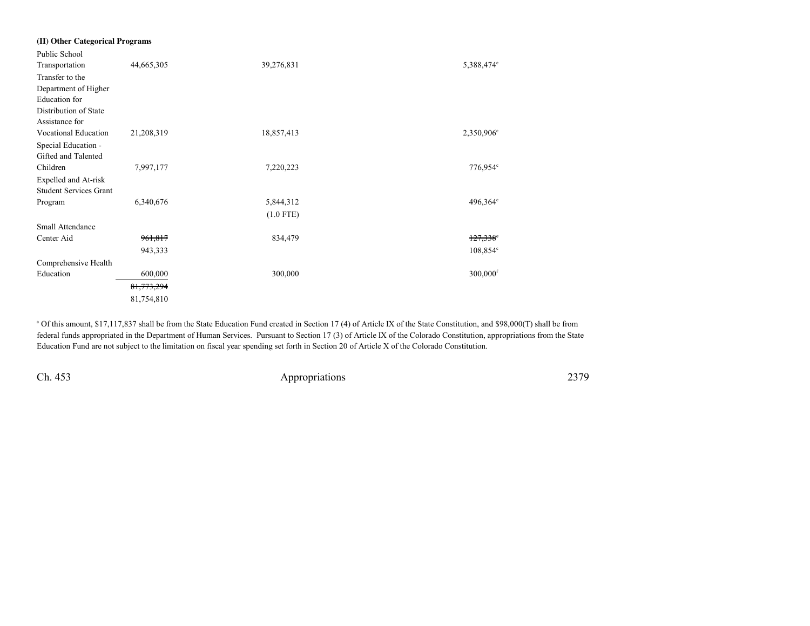| (II) Other Categorical Programs |              |             |                        |
|---------------------------------|--------------|-------------|------------------------|
| Public School                   |              |             |                        |
| Transportation                  | 44,665,305   | 39,276,831  | 5,388,474 <sup>e</sup> |
| Transfer to the                 |              |             |                        |
| Department of Higher            |              |             |                        |
| Education for                   |              |             |                        |
| Distribution of State           |              |             |                        |
| Assistance for                  |              |             |                        |
| <b>Vocational Education</b>     | 21,208,319   | 18,857,413  | 2,350,906 <sup>c</sup> |
| Special Education -             |              |             |                        |
| Gifted and Talented             |              |             |                        |
| Children                        | 7,997,177    | 7,220,223   | 776,954°               |
| Expelled and At-risk            |              |             |                        |
| <b>Student Services Grant</b>   |              |             |                        |
| Program                         | 6,340,676    | 5,844,312   | 496,364°               |
|                                 |              | $(1.0$ FTE) |                        |
| Small Attendance                |              |             |                        |
| Center Aid                      | 961,817      | 834,479     | $127,338$ °            |
|                                 | 943,333      |             | 108,854 <sup>c</sup>   |
| Comprehensive Health            |              |             |                        |
| Education                       | 600,000      | 300,000     | $300,000$ <sup>f</sup> |
|                                 | 81, 773, 294 |             |                        |
|                                 | 81,754,810   |             |                        |
|                                 |              |             |                        |

<sup>a</sup> Of this amount, \$17,117,837 shall be from the State Education Fund created in Section 17 (4) of Article IX of the State Constitution, and \$98,000(T) shall be from federal funds appropriated in the Department of Human Services. Pursuant to Section 17 (3) of Article IX of the Colorado Constitution, appropriations from the StateEducation Fund are not subject to the limitation on fiscal year spending set forth in Section 20 of Article X of the Colorado Constitution.

Ch. 453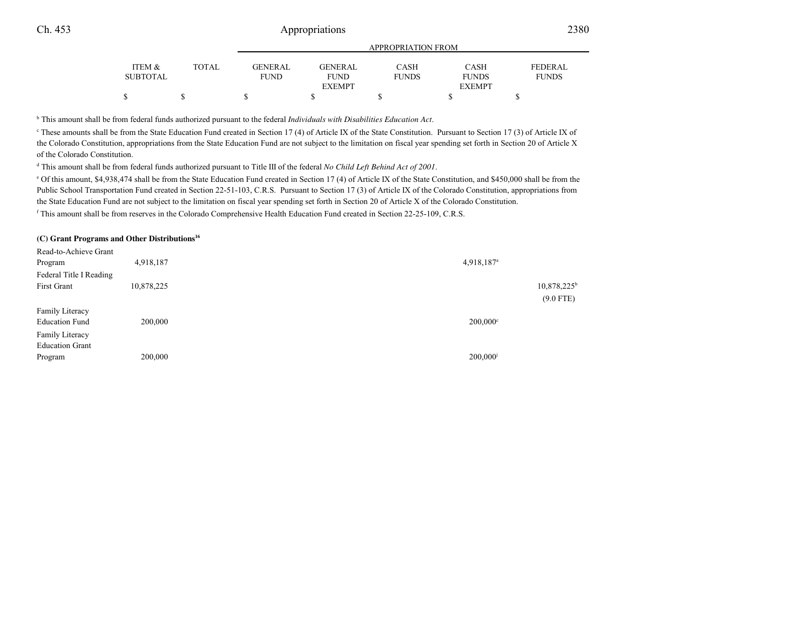|                 |       |                |                | <b>APPROPRIATION FROM</b> |               |                |
|-----------------|-------|----------------|----------------|---------------------------|---------------|----------------|
| ITEM &          | TOTAL | <b>GENERAL</b> | <b>GENERAL</b> | <b>CASH</b>               | <b>CASH</b>   | <b>FEDERAL</b> |
| <b>SUBTOTAL</b> |       | <b>FUND</b>    | <b>FUND</b>    | <b>FUNDS</b>              | <b>FUNDS</b>  | <b>FUNDS</b>   |
|                 |       |                | <b>EXEMPT</b>  |                           | <b>EXEMPT</b> |                |
|                 |       |                |                |                           |               |                |

<sup>b</sup> This amount shall be from federal funds authorized pursuant to the federal *Individuals with Disabilities Education Act*.

c These amounts shall be from the State Education Fund created in Section 17 (4) of Article IX of the State Constitution. Pursuant to Section 17 (3) of Article IX ofthe Colorado Constitution, appropriations from the State Education Fund are not subject to the limitation on fiscal year spending set forth in Section 20 of Article Xof the Colorado Constitution.

<sup>d</sup> This amount shall be from federal funds authorized pursuant to Title III of the federal *No Child Left Behind Act of 2001*.

e Of this amount, \$4,938,474 shall be from the State Education Fund created in Section 17 (4) of Article IX of the State Constitution, and \$450,000 shall be from thePublic School Transportation Fund created in Section 22-51-103, C.R.S. Pursuant to Section 17 (3) of Article IX of the Colorado Constitution, appropriations from the State Education Fund are not subject to the limitation on fiscal year spending set forth in Section 20 of Article X of the Colorado Constitution.

<sup>f</sup> This amount shall be from reserves in the Colorado Comprehensive Health Education Fund created in Section 22-25-109, C.R.S.

#### **(C) Grant Programs and Other Distributions<sup>16</sup>**

| Read-to-Achieve Grant   |            |                        |                           |
|-------------------------|------------|------------------------|---------------------------|
| Program                 | 4,918,187  | 4,918,187 <sup>a</sup> |                           |
| Federal Title I Reading |            |                        |                           |
| First Grant             | 10,878,225 |                        | $10,878,225$ <sup>t</sup> |
|                         |            |                        | $(9.0$ FTE)               |
| Family Literacy         |            |                        |                           |
| <b>Education Fund</b>   | 200,000    | $200,000^{\circ}$      |                           |
| Family Literacy         |            |                        |                           |
| <b>Education Grant</b>  |            |                        |                           |
| Program                 | 200,000    | 200,000                |                           |
|                         |            |                        |                           |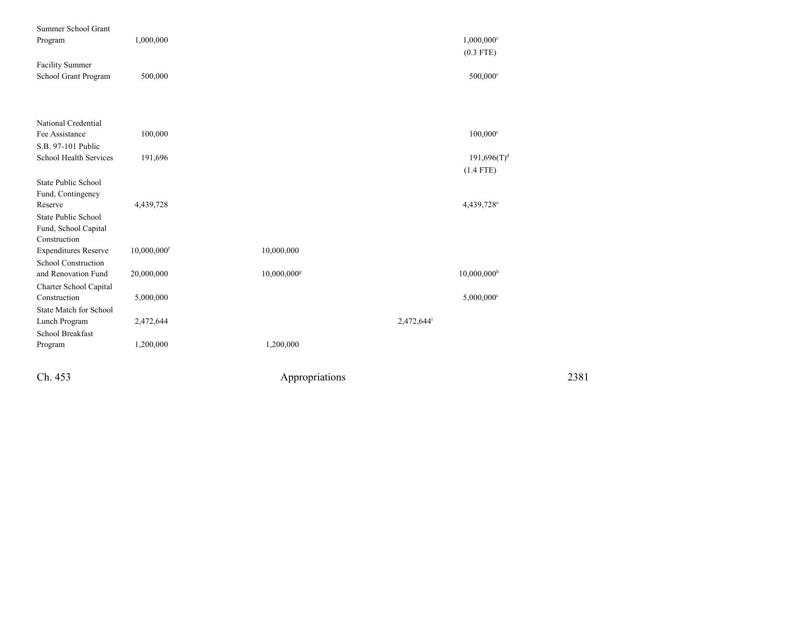| Ch. 453                                    |                           | Appropriations          |                                         | 2381 |
|--------------------------------------------|---------------------------|-------------------------|-----------------------------------------|------|
| Program                                    | 1,200,000                 | 1,200,000               |                                         |      |
| School Breakfast                           |                           |                         |                                         |      |
| Lunch Program                              | 2,472,644                 |                         | 2,472,644                               |      |
| State Match for School                     |                           |                         |                                         |      |
| Construction                               | 5,000,000                 |                         | $5,000,000$ <sup>c</sup>                |      |
| Charter School Capital                     |                           |                         |                                         |      |
| School Construction<br>and Renovation Fund | 20,000,000                | 10,000,000 <sup>g</sup> | $10,000,000$ <sup>h</sup>               |      |
| <b>Expenditures Reserve</b>                | $10,000,000$ <sup>f</sup> | 10,000,000              |                                         |      |
| Construction                               |                           |                         |                                         |      |
| Fund, School Capital                       |                           |                         |                                         |      |
| <b>State Public School</b>                 |                           |                         |                                         |      |
| Reserve                                    | 4,439,728                 |                         | 4,439,728 <sup>e</sup>                  |      |
| Fund, Contingency                          |                           |                         |                                         |      |
| <b>State Public School</b>                 |                           |                         |                                         |      |
|                                            |                           |                         | $(1.4$ FTE)                             |      |
| School Health Services                     | 191,696                   |                         | $191,696(T)^d$                          |      |
| S.B. 97-101 Public                         |                           |                         |                                         |      |
| National Credential<br>Fee Assistance      | 100,000                   |                         | $100,000$ c                             |      |
|                                            |                           |                         |                                         |      |
|                                            |                           |                         |                                         |      |
| School Grant Program                       | 500,000                   |                         | 500,000 <sup>c</sup>                    |      |
| <b>Facility Summer</b>                     |                           |                         |                                         |      |
| Program                                    | 1,000,000                 |                         | $1,000,000$ <sup>c</sup><br>$(0.3$ FTE) |      |
| Summer School Grant                        |                           |                         |                                         |      |
|                                            |                           |                         |                                         |      |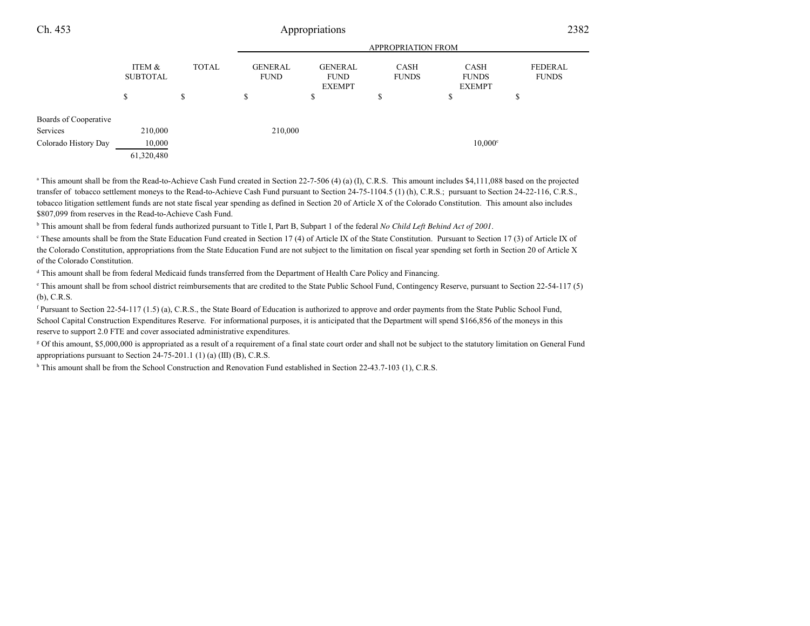| Ch. 453               |                           | 2382         |                               |                                                |                             |                                              |                                |  |
|-----------------------|---------------------------|--------------|-------------------------------|------------------------------------------------|-----------------------------|----------------------------------------------|--------------------------------|--|
|                       | <b>APPROPRIATION FROM</b> |              |                               |                                                |                             |                                              |                                |  |
|                       | ITEM &<br><b>SUBTOTAL</b> | <b>TOTAL</b> | <b>GENERAL</b><br><b>FUND</b> | <b>GENERAL</b><br><b>FUND</b><br><b>EXEMPT</b> | <b>CASH</b><br><b>FUNDS</b> | <b>CASH</b><br><b>FUNDS</b><br><b>EXEMPT</b> | <b>FEDERAL</b><br><b>FUNDS</b> |  |
|                       | S                         | \$           | \$                            | S                                              | ¢<br>D                      | D                                            | ъ                              |  |
| Boards of Cooperative |                           |              |                               |                                                |                             |                                              |                                |  |
| Services              | 210,000                   |              | 210,000                       |                                                |                             |                                              |                                |  |
| Colorado History Day  | 10,000                    |              |                               |                                                |                             | $10,000$ c                                   |                                |  |
|                       | 61,320,480                |              |                               |                                                |                             |                                              |                                |  |

<sup>a</sup> This amount shall be from the Read-to-Achieve Cash Fund created in Section 22-7-506 (4) (a) (I), C.R.S. This amount includes \$4,111,088 based on the projected transfer of tobacco settlement moneys to the Read-to-Achieve Cash Fund pursuant to Section 24-75-1104.5 (1) (h), C.R.S.; pursuant to Section 24-22-116, C.R.S.,tobacco litigation settlement funds are not state fiscal year spending as defined in Section 20 of Article X of the Colorado Constitution. This amount also includes\$807,099 from reserves in the Read-to-Achieve Cash Fund.

<sup>b</sup> This amount shall be from federal funds authorized pursuant to Title I, Part B, Subpart 1 of the federal *No Child Left Behind Act of 2001*.

c These amounts shall be from the State Education Fund created in Section 17 (4) of Article IX of the State Constitution. Pursuant to Section 17 (3) of Article IX of the Colorado Constitution, appropriations from the State Education Fund are not subject to the limitation on fiscal year spending set forth in Section 20 of Article Xof the Colorado Constitution.

<sup>d</sup> This amount shall be from federal Medicaid funds transferred from the Department of Health Care Policy and Financing.

e This amount shall be from school district reimbursements that are credited to the State Public School Fund, Contingency Reserve, pursuant to Section 22-54-117 (5)(b), C.R.S.

<sup>f</sup> Pursuant to Section 22-54-117 (1.5) (a), C.R.S., the State Board of Education is authorized to approve and order payments from the State Public School Fund, School Capital Construction Expenditures Reserve. For informational purposes, it is anticipated that the Department will spend \$166,856 of the moneys in thisreserve to support 2.0 FTE and cover associated administrative expenditures.

<sup>g</sup> Of this amount, \$5,000,000 is appropriated as a result of a requirement of a final state court order and shall not be subject to the statutory limitation on General Fund appropriations pursuant to Section 24-75-201.1 (1) (a) (III) (B), C.R.S.

<sup>h</sup> This amount shall be from the School Construction and Renovation Fund established in Section 22-43.7-103 (1), C.R.S.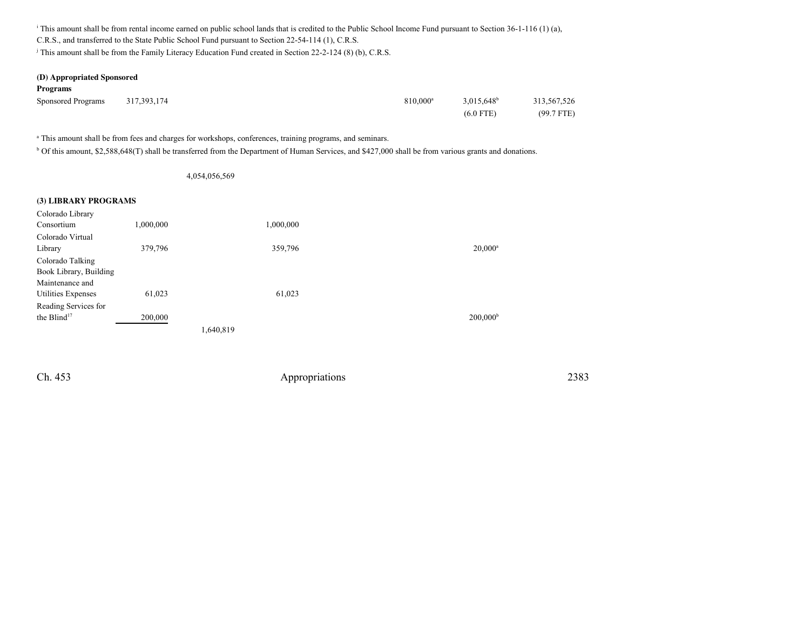<sup>i</sup> This amount shall be from rental income earned on public school lands that is credited to the Public School Income Fund pursuant to Section 36-1-116 (1) (a),

C.R.S., and transferred to the State Public School Fund pursuant to Section 22-54-114 (1), C.R.S.

<sup>j</sup> This amount shall be from the Family Literacy Education Fund created in Section 22-2-124 (8) (b), C.R.S.

#### **(D) Appropriated Sponsored**

| <b>Programs</b>           |             |                      |               |              |
|---------------------------|-------------|----------------------|---------------|--------------|
| <b>Sponsored Programs</b> | 317,393,174 | 810.000 <sup>a</sup> | $3,015,648^b$ | 313,567,526  |
|                           |             |                      | $(6.0$ FTE)   | $(99.7$ FTE) |

<sup>a</sup> This amount shall be from fees and charges for workshops, conferences, training programs, and seminars.

b Of this amount, \$2,588,648(T) shall be transferred from the Department of Human Services, and \$427,000 shall be from various grants and donations.

#### 4,054,056,569

#### **(3) LIBRARY PROGRAMS**

| $20,000^a$        |
|-------------------|
|                   |
|                   |
|                   |
|                   |
|                   |
| $200,000^{\rm b}$ |
|                   |
|                   |

Ch. 453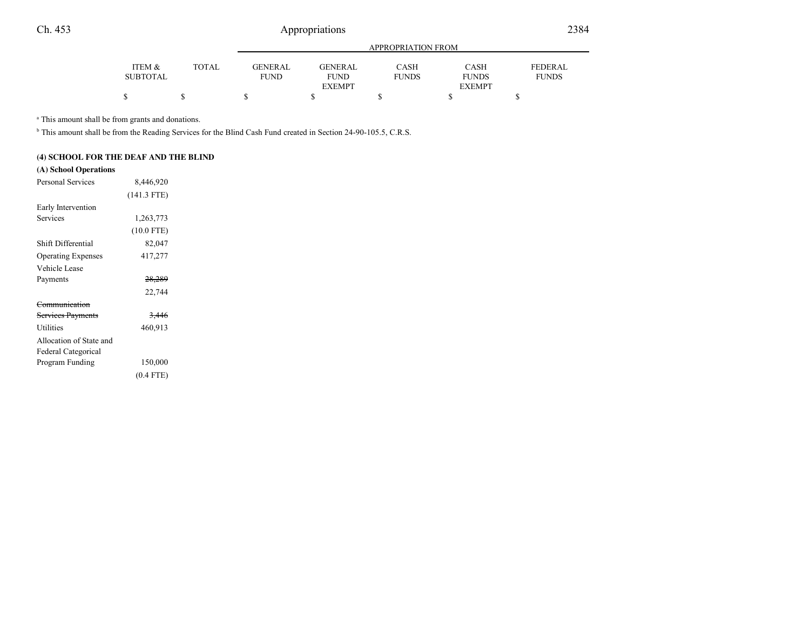|                 |       |             | APPROPRIATION FROM |              |               |                |  |  |
|-----------------|-------|-------------|--------------------|--------------|---------------|----------------|--|--|
| ITEM &          | TOTAL | GENERAL     | GENERAL            | <b>CASH</b>  | CASH          | <b>FEDERAL</b> |  |  |
| <b>SUBTOTAL</b> |       | <b>FUND</b> | <b>FUND</b>        | <b>FUNDS</b> | <b>FUNDS</b>  | <b>FUNDS</b>   |  |  |
|                 |       |             | <b>EXEMPT</b>      |              | <b>EXEMPT</b> |                |  |  |
| \$              |       |             |                    |              |               |                |  |  |

<sup>a</sup> This amount shall be from grants and donations.

<sup>b</sup> This amount shall be from the Reading Services for the Blind Cash Fund created in Section 24-90-105.5, C.R.S.

### **(4) SCHOOL FOR THE DEAF AND THE BLIND**

### **(A) School Operations**

| <b>Personal Services</b>  | 8,446,920         |  |
|---------------------------|-------------------|--|
|                           | $(141.3$ FTE)     |  |
| Early Intervention        |                   |  |
| Services                  | 1,263,773         |  |
|                           | $(10.0$ FTE)      |  |
| Shift Differential        | 82,047            |  |
| <b>Operating Expenses</b> | 417,277           |  |
| Vehicle Lease             |                   |  |
| Payments                  | <del>28,289</del> |  |
|                           | 22,744            |  |
| Communication             |                   |  |
| Services Payments         | <del>3,446</del>  |  |
| <b>Utilities</b>          | 460,913           |  |
| Allocation of State and   |                   |  |
| Federal Categorical       |                   |  |
| Program Funding           | 150,000           |  |
|                           | $(0.4$ FTE)       |  |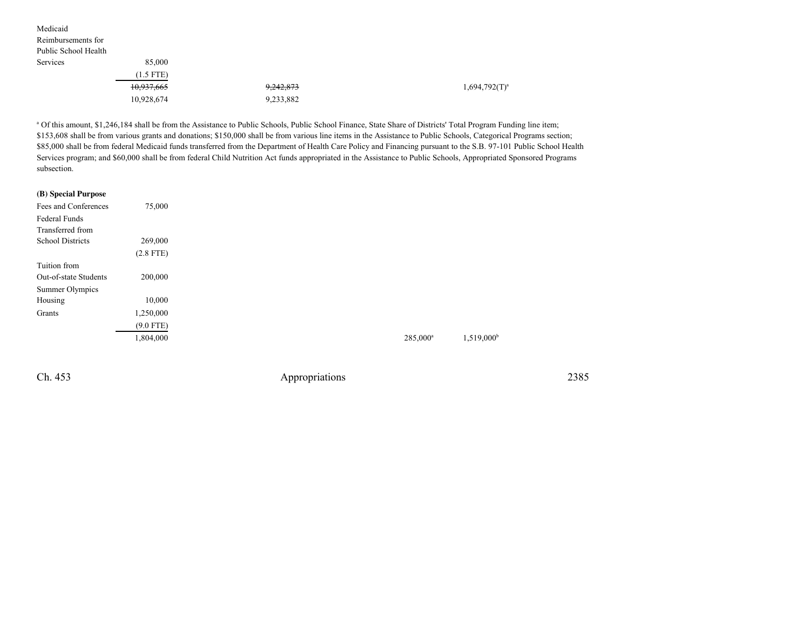| Medicaid             |             |           |                  |
|----------------------|-------------|-----------|------------------|
| Reimbursements for   |             |           |                  |
| Public School Health |             |           |                  |
| Services             | 85,000      |           |                  |
|                      | $(1.5$ FTE) |           |                  |
|                      | 10,937,665  | 9,242,873 | $1,694,792(T)^a$ |
|                      | 10,928,674  | 9,233,882 |                  |
|                      |             |           |                  |

<sup>a</sup> Of this amount, \$1,246,184 shall be from the Assistance to Public Schools, Public School Finance, State Share of Districts' Total Program Funding line item; \$153,608 shall be from various grants and donations; \$150,000 shall be from various line items in the Assistance to Public Schools, Categorical Programs section; \$85,000 shall be from federal Medicaid funds transferred from the Department of Health Care Policy and Financing pursuant to the S.B. 97-101 Public School HealthServices program; and \$60,000 shall be from federal Child Nutrition Act funds appropriated in the Assistance to Public Schools, Appropriated Sponsored Programssubsection.

| (B) Special Purpose     |             |
|-------------------------|-------------|
| Fees and Conferences    | 75,000      |
| Federal Funds           |             |
| Transferred from        |             |
| <b>School Districts</b> | 269,000     |
|                         | $(2.8$ FTE) |
| Tuition from            |             |
| Out-of-state Students   | 200,000     |
| Summer Olympics         |             |
| Housing                 | 10,000      |
| Grants                  | 1,250,000   |
|                         | $(9.0$ FTE) |
|                         | 1,804,000   |
|                         |             |

Ch. 453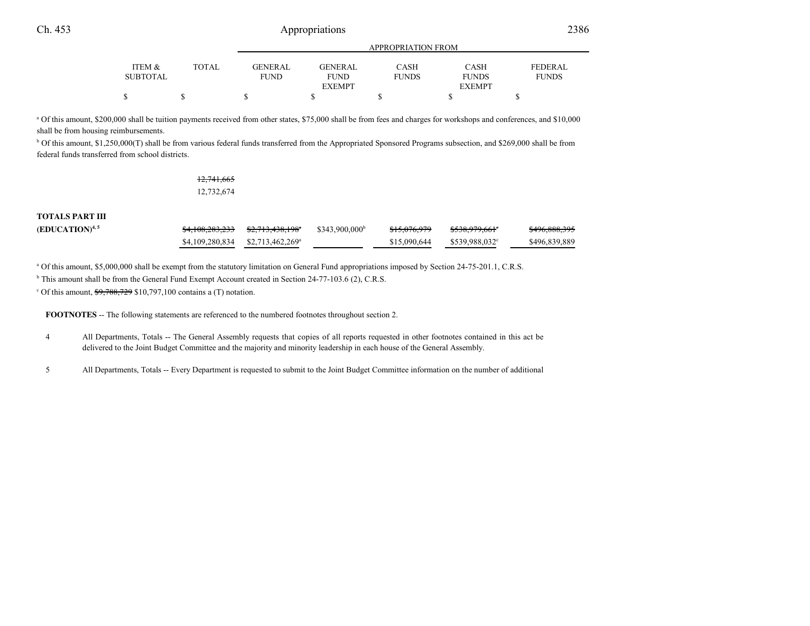|                 |              | <b>APPROPRIATION FROM</b> |                |              |               |                |
|-----------------|--------------|---------------------------|----------------|--------------|---------------|----------------|
| ITEM &          | <b>TOTAL</b> | GENERAL                   | <b>GENERAL</b> | <b>CASH</b>  | <b>CASH</b>   | <b>FEDERAL</b> |
| <b>SUBTOTAL</b> |              | <b>FUND</b>               | <b>FUND</b>    | <b>FUNDS</b> | <b>FUNDS</b>  | <b>FUNDS</b>   |
|                 |              |                           | <b>EXEMPT</b>  |              | <b>EXEMPT</b> |                |
| \$              |              |                           |                |              |               |                |

a Of this amount, \$200,000 shall be tuition payments received from other states, \$75,000 shall be from fees and charges for workshops and conferences, and \$10,000shall be from housing reimbursements.

b Of this amount, \$1,250,000(T) shall be from various federal funds transferred from the Appropriated Sponsored Programs subsection, and \$269,000 shall be fromfederal funds transferred from school districts.

> 12,741,66512,732,674

#### **TOTALS PART III**

| <b>(EDUCATION)<sup>4, 5</sup></b> |                                                | $$343.900.000$ <sup>b</sup> | <del>\$15,076,979</del> | <del>\$538,979,661</del> ° | <del>\$496,888,395</del> |
|-----------------------------------|------------------------------------------------|-----------------------------|-------------------------|----------------------------|--------------------------|
|                                   | $$4,109,280,834$ $$2,713,462,269$ <sup>a</sup> |                             | \$15,090,644            | \$539.988.032°             | \$496,839,889            |

<sup>a</sup> Of this amount, \$5,000,000 shall be exempt from the statutory limitation on General Fund appropriations imposed by Section 24-75-201.1, C.R.S.

<sup>b</sup> This amount shall be from the General Fund Exempt Account created in Section 24-77-103.6 (2), C.R.S.

c Of this amount, \$9,788,729 \$10,797,100 contains a (T) notation.

**FOOTNOTES** -- The following statements are referenced to the numbered footnotes throughout section 2.

- <sup>4</sup> All Departments, Totals -- The General Assembly requests that copies of all reports requested in other footnotes contained in this act be delivered to the Joint Budget Committee and the majority and minority leadership in each house of the General Assembly.
- <sup>5</sup> All Departments, Totals -- Every Department is requested to submit to the Joint Budget Committee information on the number of additional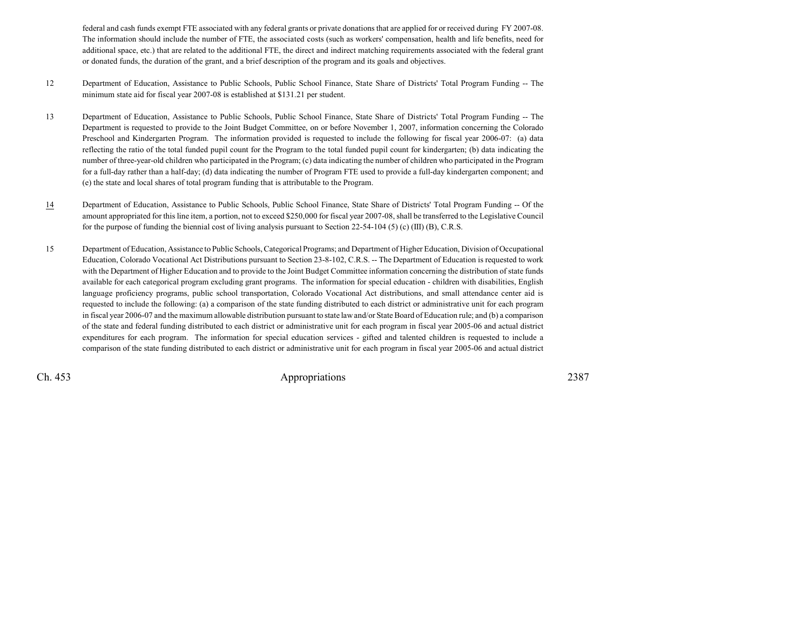federal and cash funds exempt FTE associated with any federal grants or private donations that are applied for or received during FY 2007-08.The information should include the number of FTE, the associated costs (such as workers' compensation, health and life benefits, need foradditional space, etc.) that are related to the additional FTE, the direct and indirect matching requirements associated with the federal grantor donated funds, the duration of the grant, and a brief description of the program and its goals and objectives.

- <sup>12</sup> Department of Education, Assistance to Public Schools, Public School Finance, State Share of Districts' Total Program Funding -- The minimum state aid for fiscal year 2007-08 is established at \$131.21 per student.
- <sup>13</sup> Department of Education, Assistance to Public Schools, Public School Finance, State Share of Districts' Total Program Funding -- The Department is requested to provide to the Joint Budget Committee, on or before November 1, 2007, information concerning the Colorado Preschool and Kindergarten Program. The information provided is requested to include the following for fiscal year 2006-07: (a) data reflecting the ratio of the total funded pupil count for the Program to the total funded pupil count for kindergarten; (b) data indicating the number of three-year-old children who participated in the Program; (c) data indicating the number of children who participated in the Program for a full-day rather than a half-day; (d) data indicating the number of Program FTE used to provide a full-day kindergarten component; and(e) the state and local shares of total program funding that is attributable to the Program.
- 14 Department of Education, Assistance to Public Schools, Public School Finance, State Share of Districts' Total Program Funding -- Of the amount appropriated for this line item, a portion, not to exceed \$250,000 for fiscal year 2007-08, shall be transferred to the Legislative Councilfor the purpose of funding the biennial cost of living analysis pursuant to Section 22-54-104 (5) (c) (III) (B), C.R.S.
- <sup>15</sup> Department of Education, Assistance to Public Schools, Categorical Programs; and Department of Higher Education, Division of Occupational Education, Colorado Vocational Act Distributions pursuant to Section 23-8-102, C.R.S. -- The Department of Education is requested to work with the Department of Higher Education and to provide to the Joint Budget Committee information concerning the distribution of state funds available for each categorical program excluding grant programs. The information for special education - children with disabilities, English language proficiency programs, public school transportation, Colorado Vocational Act distributions, and small attendance center aid is requested to include the following: (a) a comparison of the state funding distributed to each district or administrative unit for each program in fiscal year 2006-07 and the maximum allowable distribution pursuant to state law and/or State Board of Education rule; and (b) a comparison of the state and federal funding distributed to each district or administrative unit for each program in fiscal year 2005-06 and actual districtexpenditures for each program. The information for special education services - gifted and talented children is requested to include acomparison of the state funding distributed to each district or administrative unit for each program in fiscal year 2005-06 and actual district

Ch. 453